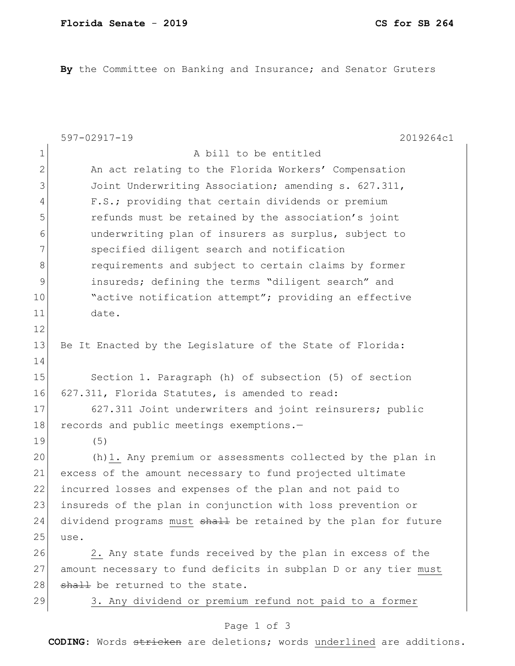**By** the Committee on Banking and Insurance; and Senator Gruters

|                | 597-02917-19<br>2019264c1                                       |
|----------------|-----------------------------------------------------------------|
| $\mathbf 1$    | A bill to be entitled                                           |
| $\overline{2}$ | An act relating to the Florida Workers' Compensation            |
| 3              | Joint Underwriting Association; amending s. 627.311,            |
| $\overline{4}$ | F.S.; providing that certain dividends or premium               |
| 5              | refunds must be retained by the association's joint             |
| 6              | underwriting plan of insurers as surplus, subject to            |
| 7              | specified diligent search and notification                      |
| 8              | requirements and subject to certain claims by former            |
| 9              | insureds; defining the terms "diligent search" and              |
| 10             | "active notification attempt"; providing an effective           |
| 11             | date.                                                           |
| 12             |                                                                 |
| 13             | Be It Enacted by the Legislature of the State of Florida:       |
| 14             |                                                                 |
| 15             | Section 1. Paragraph (h) of subsection (5) of section           |
| 16             | 627.311, Florida Statutes, is amended to read:                  |
| 17             | 627.311 Joint underwriters and joint reinsurers; public         |
| 18             | records and public meetings exemptions.-                        |
| 19             | (5)                                                             |
| 20             | (h) 1. Any premium or assessments collected by the plan in      |
| 21             | excess of the amount necessary to fund projected ultimate       |
| 22             | incurred losses and expenses of the plan and not paid to        |
| 23             | insureds of the plan in conjunction with loss prevention or     |
| 24             | dividend programs must shall be retained by the plan for future |
| 25             | use.                                                            |
| 26             | 2. Any state funds received by the plan in excess of the        |
| 27             | amount necessary to fund deficits in subplan D or any tier must |
| 28             | shall be returned to the state.                                 |
| 29             | 3. Any dividend or premium refund not paid to a former          |
|                | Page 1 of 3                                                     |

**CODING**: Words stricken are deletions; words underlined are additions.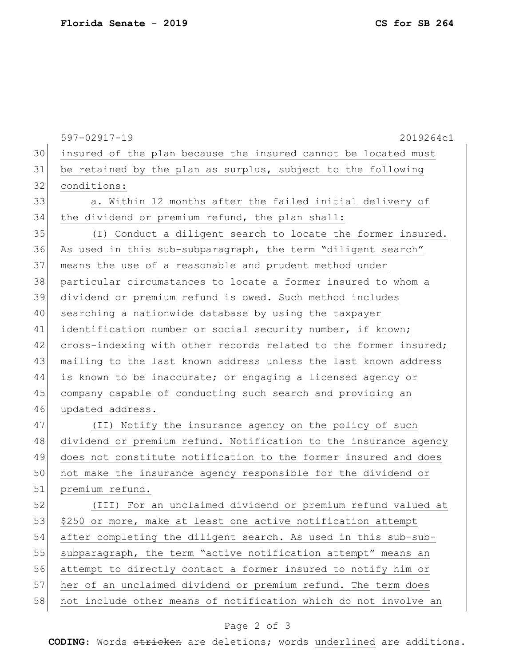597-02917-19 2019264c1 30 insured of the plan because the insured cannot be located must 31 be retained by the plan as surplus, subject to the following 32 conditions: 33 a. Within 12 months after the failed initial delivery of 34 the dividend or premium refund, the plan shall: 35 (I) Conduct a diligent search to locate the former insured. 36 As used in this sub-subparagraph, the term "diligent search" 37 means the use of a reasonable and prudent method under 38 | particular circumstances to locate a former insured to whom a 39 dividend or premium refund is owed. Such method includes 40 searching a nationwide database by using the taxpayer 41 identification number or social security number, if known; 42 cross-indexing with other records related to the former insured; 43 mailing to the last known address unless the last known address 44 is known to be inaccurate; or engaging a licensed agency or 45 company capable of conducting such search and providing an 46 updated address. 47 (II) Notify the insurance agency on the policy of such 48 dividend or premium refund. Notification to the insurance agency 49 does not constitute notification to the former insured and does 50 not make the insurance agency responsible for the dividend or 51 premium refund. 52 (III) For an unclaimed dividend or premium refund valued at 53 \$250 or more, make at least one active notification attempt 54 after completing the diligent search. As used in this sub-sub-55 subparagraph, the term "active notification attempt" means an 56 attempt to directly contact a former insured to notify him or

57 her of an unclaimed dividend or premium refund. The term does

58 not include other means of notification which do not involve an

## Page 2 of 3

**CODING**: Words stricken are deletions; words underlined are additions.